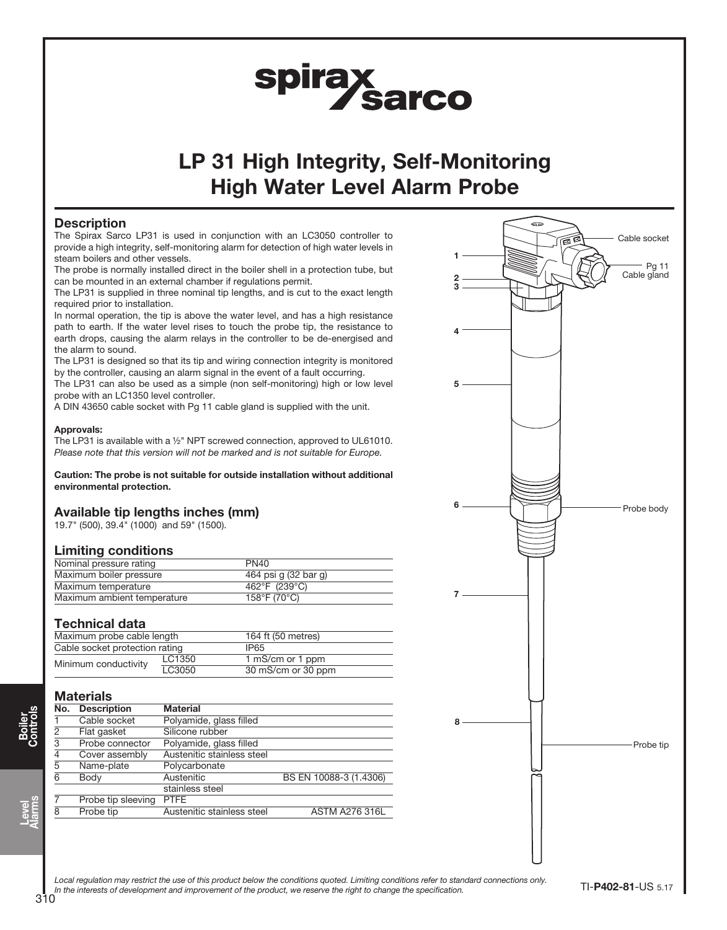# spirax<br>Sarco

# LP 31 High Integrity, Self-Monitoring High Water Level Alarm Probe

# **Description**

The Spirax Sarco LP31 is used in conjunction with an LC3050 controller to provide a high integrity, self-monitoring alarm for detection of high water levels in steam boilers and other vessels.

The probe is normally installed direct in the boiler shell in a protection tube, but can be mounted in an external chamber if regulations permit.

The LP31 is supplied in three nominal tip lengths, and is cut to the exact length required prior to installation.

In normal operation, the tip is above the water level, and has a high resistance path to earth. If the water level rises to touch the probe tip, the resistance to earth drops, causing the alarm relays in the controller to be de-energised and the alarm to sound.

The LP31 is designed so that its tip and wiring connection integrity is monitored by the controller, causing an alarm signal in the event of a fault occurring.

The LP31 can also be used as a simple (non self-monitoring) high or low level probe with an LC1350 level controller.

A DIN 43650 cable socket with Pg 11 cable gland is supplied with the unit.

#### Approvals:

The LP31 is available with a ½" NPT screwed connection, approved to UL61010. Please note that this version will not be marked and is not suitable for Europe.

Caution: The probe is not suitable for outside installation without additional environmental protection.

### Available tip lengths inches (mm)

19.7" (500), 39.4" (1000) and 59" (1500).

### Limiting conditions

| Nominal pressure rating     | PN <sub>40</sub>     |
|-----------------------------|----------------------|
| Maximum boiler pressure     | 464 psi q (32 bar q) |
| Maximum temperature         | 462°F (239°C)        |
| Maximum ambient temperature | 158°F (70°C)         |

### Technical data

| Maximum probe cable length     |        | 164 ft (50 metres) |  |  |
|--------------------------------|--------|--------------------|--|--|
| Cable socket protection rating |        | IP65               |  |  |
| Minimum conductivity           | LC1350 | 1 mS/cm or 1 ppm   |  |  |
|                                | LC3050 | 30 mS/cm or 30 ppm |  |  |

# **Materials**

|     | .                  |                            |                        |  |  |
|-----|--------------------|----------------------------|------------------------|--|--|
| No. | <b>Description</b> | <b>Material</b>            |                        |  |  |
|     | Cable socket       | Polyamide, glass filled    |                        |  |  |
| 2   | Flat gasket        | Silicone rubber            |                        |  |  |
| 3   | Probe connector    | Polyamide, glass filled    |                        |  |  |
| 4   | Cover assembly     | Austenitic stainless steel |                        |  |  |
| 5   | Name-plate         | Polycarbonate              |                        |  |  |
| 6   | Body               | Austenitic                 | BS EN 10088-3 (1.4306) |  |  |
|     |                    | stainless steel            |                        |  |  |
|     | Probe tip sleeving | <b>PTFE</b>                |                        |  |  |
| 8   | Probe tip          | Austenitic stainless steel | <b>ASTM A276 316L</b>  |  |  |



Local requlation may restrict the use of this product below the conditions quoted. Limiting conditions refer to standard connections only. In the interests of development and improvement of the product, we reserve the right to change the specification.

Level Alarms

Boiler Controls